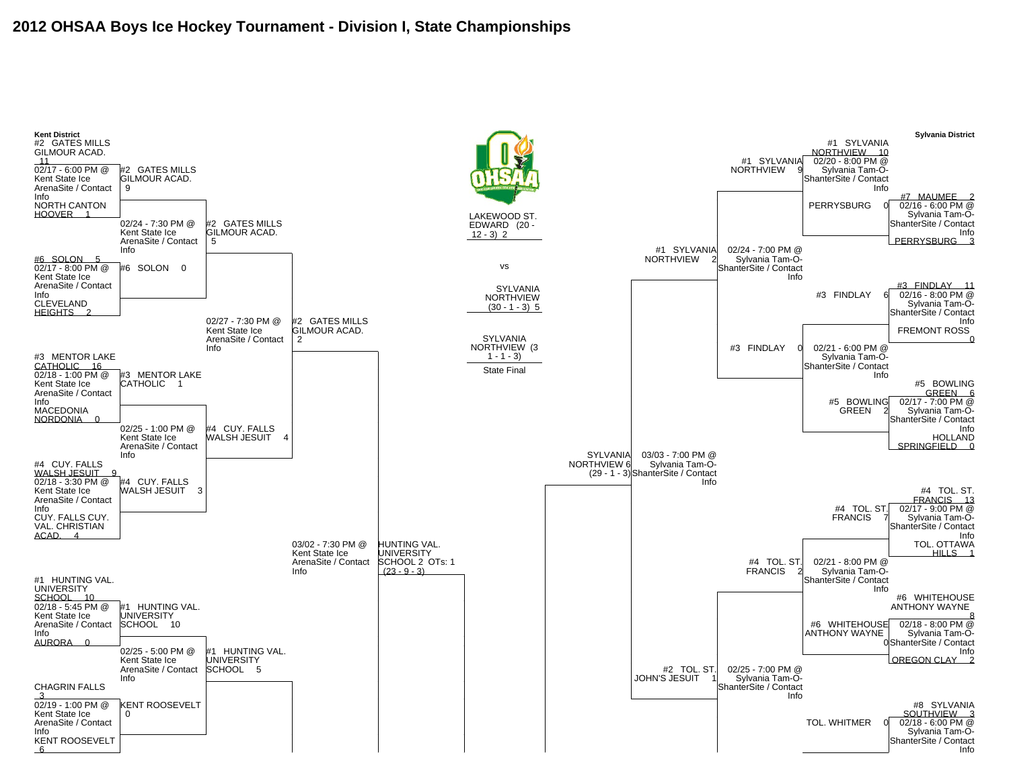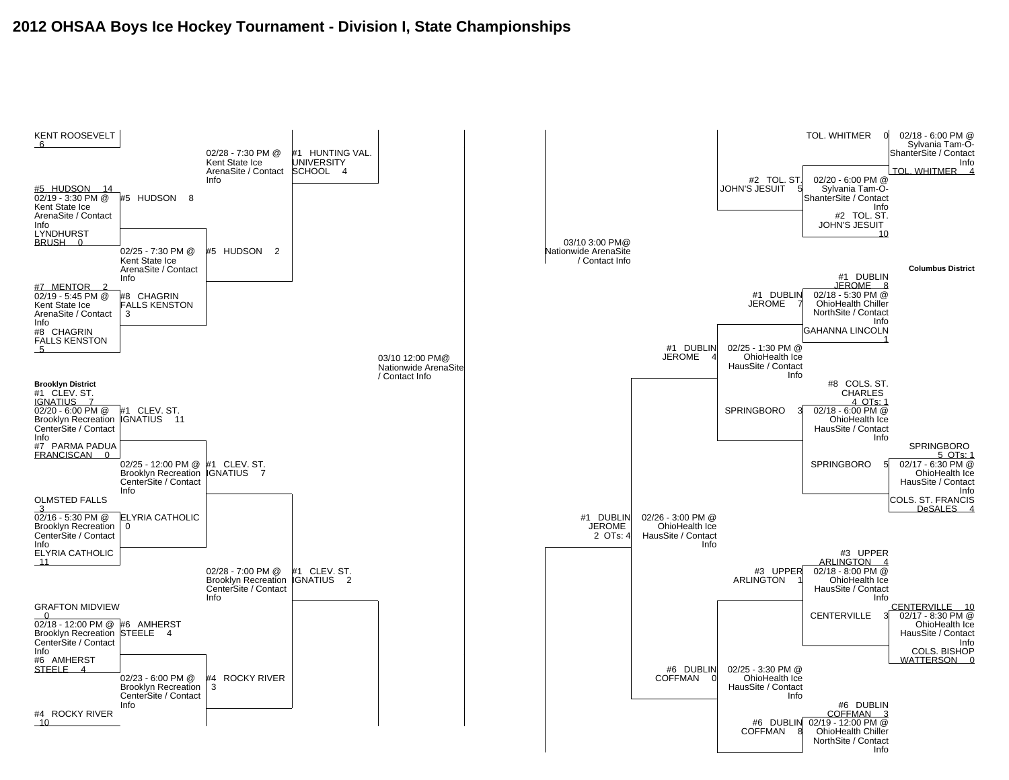## **2012 OHSAA Boys Ice Hockey Tournament - Division I, State Championships**

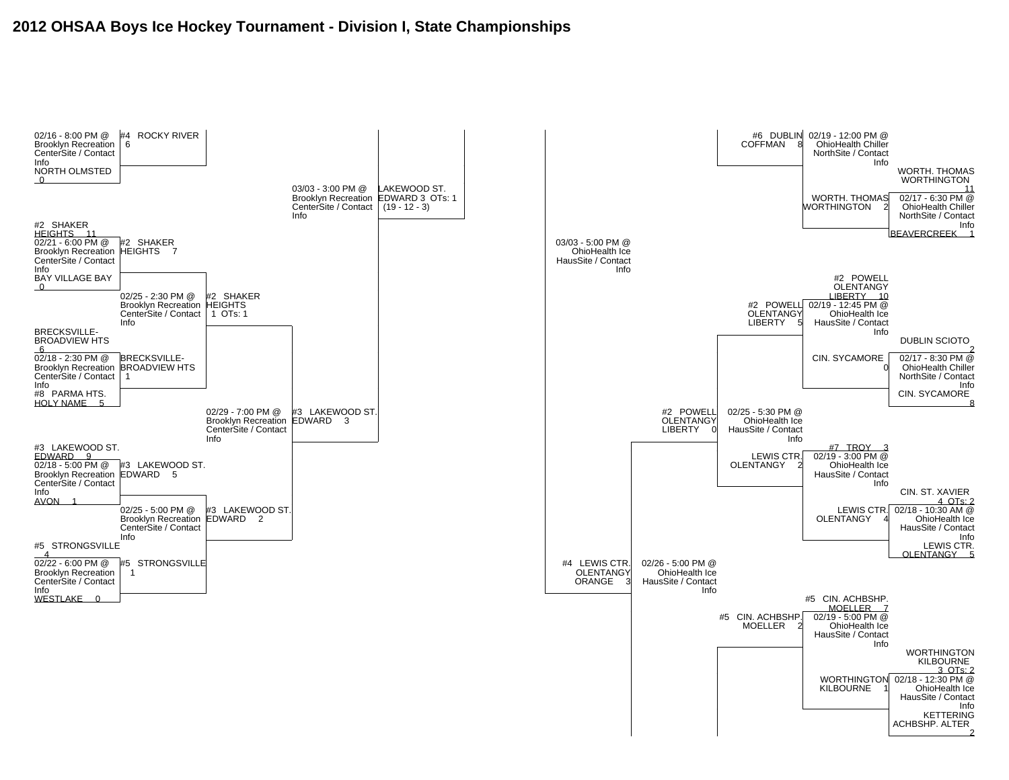## **2012 OHSAA Boys Ice Hockey Tournament - Division I, State Championships**